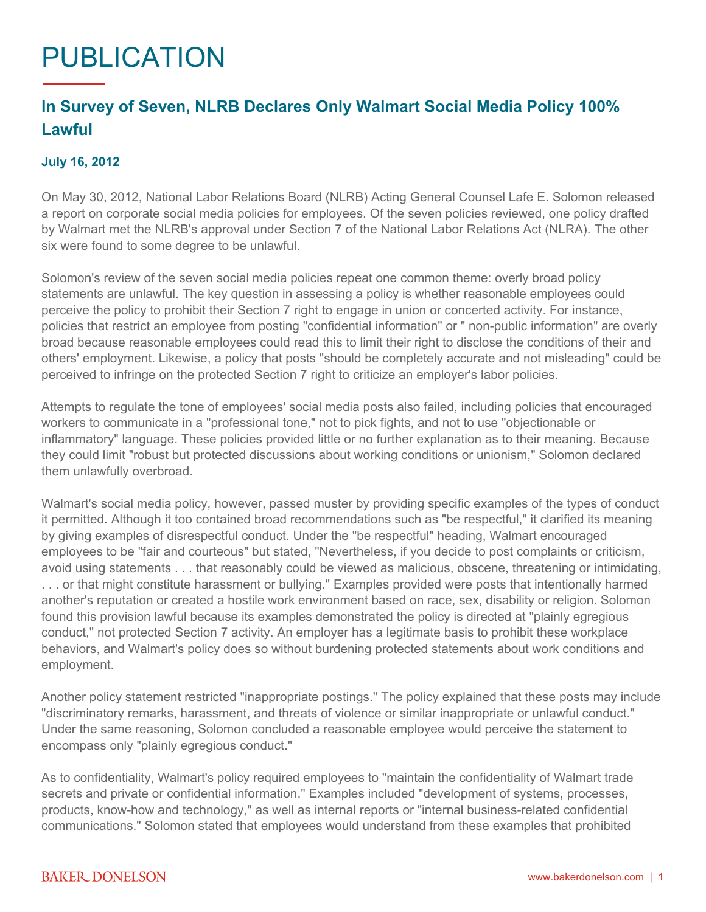## PUBLICATION

## **In Survey of Seven, NLRB Declares Only Walmart Social Media Policy 100% Lawful**

## **July 16, 2012**

On May 30, 2012, National Labor Relations Board (NLRB) Acting General Counsel Lafe E. Solomon released a report on corporate social media policies for employees. Of the seven policies reviewed, one policy drafted by Walmart met the NLRB's approval under Section 7 of the National Labor Relations Act (NLRA). The other six were found to some degree to be unlawful.

Solomon's review of the seven social media policies repeat one common theme: overly broad policy statements are unlawful. The key question in assessing a policy is whether reasonable employees could perceive the policy to prohibit their Section 7 right to engage in union or concerted activity. For instance, policies that restrict an employee from posting "confidential information" or " non-public information" are overly broad because reasonable employees could read this to limit their right to disclose the conditions of their and others' employment. Likewise, a policy that posts "should be completely accurate and not misleading" could be perceived to infringe on the protected Section 7 right to criticize an employer's labor policies.

Attempts to regulate the tone of employees' social media posts also failed, including policies that encouraged workers to communicate in a "professional tone," not to pick fights, and not to use "objectionable or inflammatory" language. These policies provided little or no further explanation as to their meaning. Because they could limit "robust but protected discussions about working conditions or unionism," Solomon declared them unlawfully overbroad.

Walmart's social media policy, however, passed muster by providing specific examples of the types of conduct it permitted. Although it too contained broad recommendations such as "be respectful," it clarified its meaning by giving examples of disrespectful conduct. Under the "be respectful" heading, Walmart encouraged employees to be "fair and courteous" but stated, "Nevertheless, if you decide to post complaints or criticism, avoid using statements . . . that reasonably could be viewed as malicious, obscene, threatening or intimidating, . . . or that might constitute harassment or bullying." Examples provided were posts that intentionally harmed another's reputation or created a hostile work environment based on race, sex, disability or religion. Solomon found this provision lawful because its examples demonstrated the policy is directed at "plainly egregious conduct," not protected Section 7 activity. An employer has a legitimate basis to prohibit these workplace behaviors, and Walmart's policy does so without burdening protected statements about work conditions and employment.

Another policy statement restricted "inappropriate postings." The policy explained that these posts may include "discriminatory remarks, harassment, and threats of violence or similar inappropriate or unlawful conduct." Under the same reasoning, Solomon concluded a reasonable employee would perceive the statement to encompass only "plainly egregious conduct."

As to confidentiality, Walmart's policy required employees to "maintain the confidentiality of Walmart trade secrets and private or confidential information." Examples included "development of systems, processes, products, know-how and technology," as well as internal reports or "internal business-related confidential communications." Solomon stated that employees would understand from these examples that prohibited